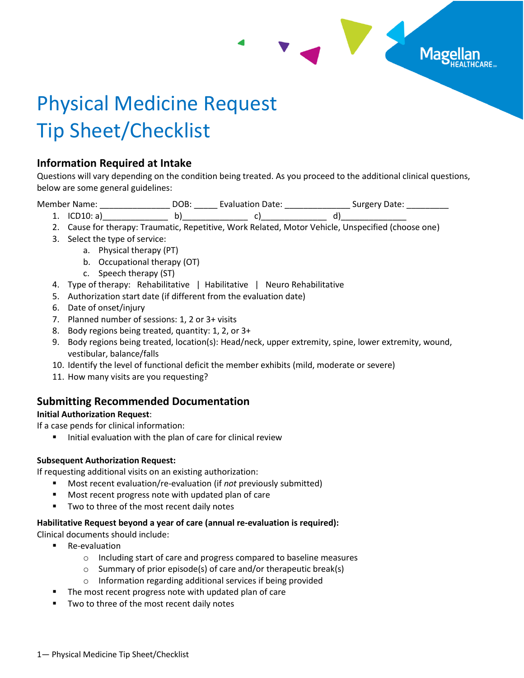

# Physical Medicine Request Tip Sheet/Checklist

## **Information Required at Intake**

Questions will vary depending on the condition being treated. As you proceed to the additional clinical questions, below are some general guidelines:

Member Name: \_\_\_\_\_\_\_\_\_\_\_\_\_\_\_\_\_\_\_\_\_ DOB: \_\_\_\_\_\_\_ Evaluation Date: \_\_\_\_\_\_\_\_\_\_\_\_\_\_\_\_ Surgery Date: \_\_

- 1. ICD10: a)\_\_\_\_\_\_\_\_\_\_\_\_\_\_ b)\_\_\_\_\_\_\_\_\_\_\_\_\_\_ c)\_\_\_\_\_\_\_\_\_\_\_\_\_\_ d)\_\_\_\_\_\_\_\_\_\_\_\_\_\_
- 2. Cause for therapy: Traumatic, Repetitive, Work Related, Motor Vehicle, Unspecified (choose one)
- 3. Select the type of service:
	- a. Physical therapy (PT)
	- b. Occupational therapy (OT)
	- c. Speech therapy (ST)
- 4. Type of therapy: Rehabilitative | Habilitative | Neuro Rehabilitative
- 5. Authorization start date (if different from the evaluation date)
- 6. Date of onset/injury
- 7. Planned number of sessions: 1, 2 or 3+ visits
- 8. Body regions being treated, quantity: 1, 2, or 3+
- 9. Body regions being treated, location(s): Head/neck, upper extremity, spine, lower extremity, wound, vestibular, balance/falls
- 10. Identify the level of functional deficit the member exhibits (mild, moderate or severe)
- 11. How many visits are you requesting?

# **Submitting Recommended Documentation**

## **Initial Authorization Request**:

If a case pends for clinical information:

■ Initial evaluation with the plan of care for clinical review

## **Subsequent Authorization Request:**

If requesting additional visits on an existing authorization:

- Most recent evaluation/re-evaluation (if *not* previously submitted)
- Most recent progress note with updated plan of care
- Two to three of the most recent daily notes

## **Habilitative Request beyond a year of care (annual re-evaluation is required):**

Clinical documents should include:

- Re-evaluation
	- o Including start of care and progress compared to baseline measures
	- o Summary of prior episode(s) of care and/or therapeutic break(s)
	- o Information regarding additional services if being provided
- The most recent progress note with updated plan of care
- Two to three of the most recent daily notes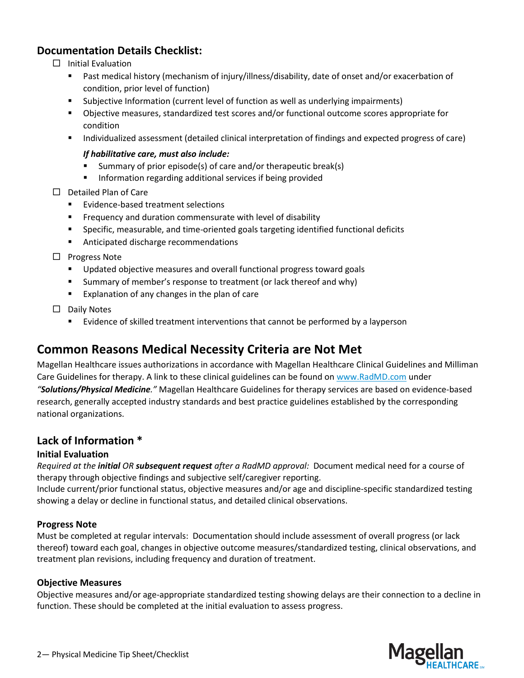## **Documentation Details Checklist:**

- $\Box$  Initial Evaluation
	- Past medical history (mechanism of injury/illness/disability, date of onset and/or exacerbation of condition, prior level of function)
	- Subjective Information (current level of function as well as underlying impairments)
	- Objective measures, standardized test scores and/or functional outcome scores appropriate for condition
	- Individualized assessment (detailed clinical interpretation of findings and expected progress of care)

#### *If habilitative care, must also include:*

- Summary of prior episode(s) of care and/or therapeutic break(s)
- Information regarding additional services if being provided
- $\square$  Detailed Plan of Care
	- Evidence-based treatment selections
	- Frequency and duration commensurate with level of disability
	- Specific, measurable, and time-oriented goals targeting identified functional deficits
	- Anticipated discharge recommendations
- $\Box$  Progress Note
	- Updated objective measures and overall functional progress toward goals
	- Summary of member's response to treatment (or lack thereof and why)
	- Explanation of any changes in the plan of care

 $\square$  Daily Notes

**Example 1** Evidence of skilled treatment interventions that cannot be performed by a layperson

# **Common Reasons Medical Necessity Criteria are Not Met**

Magellan Healthcare issues authorizations in accordance with Magellan Healthcare Clinical Guidelines and Milliman Care Guidelines for therapy. A link to these clinical guidelines can be found on [www.RadMD.com](http://www.radmd.com/) under *"Solutions/Physical Medicine."* Magellan Healthcare Guidelines for therapy services are based on evidence-based

research, generally accepted industry standards and best practice guidelines established by the corresponding national organizations.

## **Lack of Information \***

## **Initial Evaluation**

*Required at the initial OR subsequent request after a RadMD approval:* Document medical need for a course of therapy through objective findings and subjective self/caregiver reporting.

Include current/prior functional status, objective measures and/or age and discipline-specific standardized testing showing a delay or decline in functional status, and detailed clinical observations.

## **Progress Note**

Must be completed at regular intervals: Documentation should include assessment of overall progress (or lack thereof) toward each goal, changes in objective outcome measures/standardized testing, clinical observations, and treatment plan revisions, including frequency and duration of treatment.

#### **Objective Measures**

Objective measures and/or age-appropriate standardized testing showing delays are their connection to a decline in function. These should be completed at the initial evaluation to assess progress.

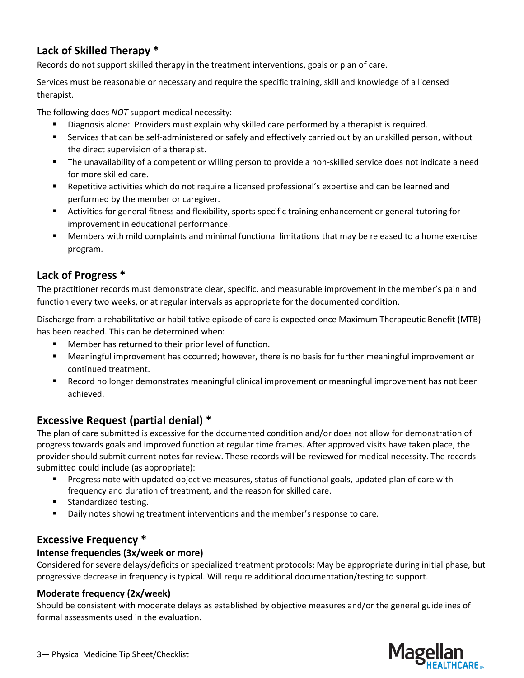# **Lack of Skilled Therapy \***

Records do not support skilled therapy in the treatment interventions, goals or plan of care.

Services must be reasonable or necessary and require the specific training, skill and knowledge of a licensed therapist.

The following does *NOT* support medical necessity:

- Diagnosis alone: Providers must explain why skilled care performed by a therapist is required.
- **EXECT** Services that can be self-administered or safely and effectively carried out by an unskilled person, without the direct supervision of a therapist.
- The unavailability of a competent or willing person to provide a non-skilled service does not indicate a need for more skilled care.
- Repetitive activities which do not require a licensed professional's expertise and can be learned and performed by the member or caregiver.
- Activities for general fitness and flexibility, sports specific training enhancement or general tutoring for improvement in educational performance.
- Members with mild complaints and minimal functional limitations that may be released to a home exercise program.

# **Lack of Progress \***

The practitioner records must demonstrate clear, specific, and measurable improvement in the member's pain and function every two weeks, or at regular intervals as appropriate for the documented condition.

Discharge from a rehabilitative or habilitative episode of care is expected once Maximum Therapeutic Benefit (MTB) has been reached. This can be determined when:

- Member has returned to their prior level of function.
- Meaningful improvement has occurred; however, there is no basis for further meaningful improvement or continued treatment.
- Record no longer demonstrates meaningful clinical improvement or meaningful improvement has not been achieved.

## **Excessive Request (partial denial) \***

The plan of care submitted is excessive for the documented condition and/or does not allow for demonstration of progress towards goals and improved function at regular time frames. After approved visits have taken place, the provider should submit current notes for review. These records will be reviewed for medical necessity. The records submitted could include (as appropriate):

- Progress note with updated objective measures, status of functional goals, updated plan of care with frequency and duration of treatment, and the reason for skilled care.
- Standardized testing.
- Daily notes showing treatment interventions and the member's response to care.

## **Excessive Frequency \***

## **Intense frequencies (3x/week or more)**

Considered for severe delays/deficits or specialized treatment protocols: May be appropriate during initial phase, but progressive decrease in frequency is typical. Will require additional documentation/testing to support.

## **Moderate frequency (2x/week)**

Should be consistent with moderate delays as established by objective measures and/or the general guidelines of formal assessments used in the evaluation.